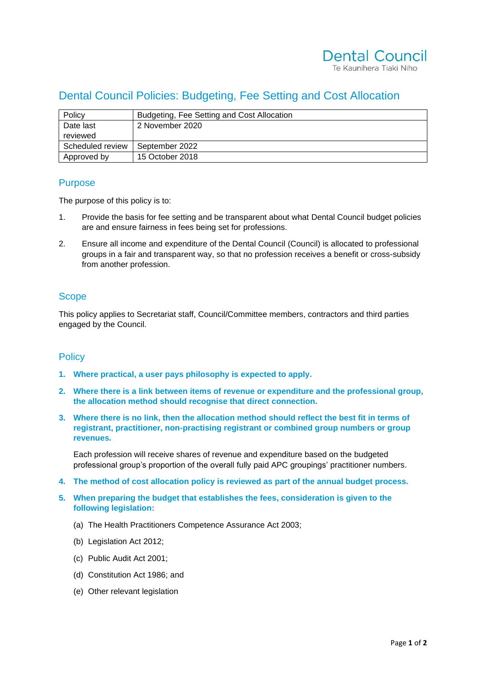# Dental Council Policies: Budgeting, Fee Setting and Cost Allocation

| Policy           | Budgeting, Fee Setting and Cost Allocation |
|------------------|--------------------------------------------|
| Date last        | 2 November 2020                            |
| reviewed         |                                            |
| Scheduled review | September 2022                             |
| Approved by      | 15 October 2018                            |

### Purpose

The purpose of this policy is to:

- 1. Provide the basis for fee setting and be transparent about what Dental Council budget policies are and ensure fairness in fees being set for professions.
- 2. Ensure all income and expenditure of the Dental Council (Council) is allocated to professional groups in a fair and transparent way, so that no profession receives a benefit or cross-subsidy from another profession.

## **Scope**

This policy applies to Secretariat staff, Council/Committee members, contractors and third parties engaged by the Council.

### **Policy**

- **1. Where practical, a user pays philosophy is expected to apply.**
- **2. Where there is a link between items of revenue or expenditure and the professional group, the allocation method should recognise that direct connection.**
- **3. Where there is no link, then the allocation method should reflect the best fit in terms of registrant, practitioner, non-practising registrant or combined group numbers or group revenues.**

Each profession will receive shares of revenue and expenditure based on the budgeted professional group's proportion of the overall fully paid APC groupings' practitioner numbers.

- **4. The method of cost allocation policy is reviewed as part of the annual budget process.**
- **5. When preparing the budget that establishes the fees, consideration is given to the following legislation:**
	- (a) The Health Practitioners Competence Assurance Act 2003;
	- (b) Legislation Act 2012;
	- (c) Public Audit Act 2001;
	- (d) Constitution Act 1986; and
	- (e) Other relevant legislation